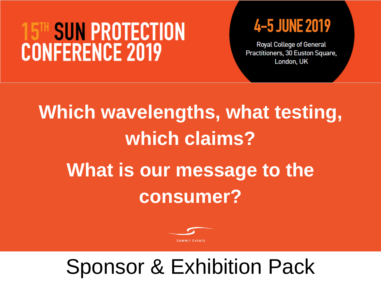## **SUN PROTECTION CONFERENCE 2019**

## 4-5 JUNE 2019

**Royal College of General** Practitioners, 30 Euston Square, London, UK

# **Which wavelengths, what testing, which claims? What is our message to the consumer?**



## Sponsor & Exhibition Pack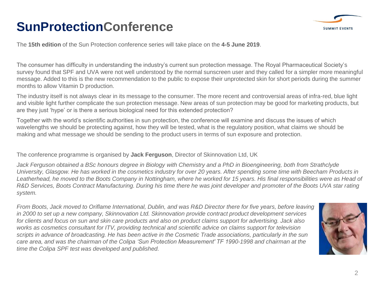### **SunProtectionConference**



The **15th edition** of the Sun Protection conference series will take place on the **4-5 June 2019**.

The consumer has difficulty in understanding the industry's current sun protection message. The Royal Pharmaceutical Society's survey found that SPF and UVA were not well understood by the normal sunscreen user and they called for a simpler more meaningful message. Added to this is the new recommendation to the public to expose their unprotected skin for short periods during the summer months to allow Vitamin D production.

The industry itself is not always clear in its message to the consumer. The more recent and controversial areas of infra-red, blue light and visible light further complicate the sun protection message. New areas of sun protection may be good for marketing products, but are they just 'hype' or is there a serious biological need for this extended protection?

Together with the world's scientific authorities in sun protection, the conference will examine and discuss the issues of which wavelengths we should be protecting against, how they will be tested, what is the regulatory position, what claims we should be making and what message we should be sending to the product users in terms of sun exposure and protection.

The conference programme is organised by **Jack Ferguson**, Director of Skinnovation Ltd, UK

*Jack Ferguson obtained a BSc honours degree in Biology with Chemistry and a PhD in Bioengineering, both from Strathclyde University, Glasgow. He has worked in the cosmetics industry for over 20 years. After spending some time with Beecham Products in Leatherhead, he moved to the Boots Company in Nottingham, where he worked for 15 years. His final responsibilities were as Head of R&D Services, Boots Contract Manufacturing. During his time there he was joint developer and promoter of the Boots UVA star rating system.*

*From Boots, Jack moved to Oriflame International, Dublin, and was R&D Director there for five years, before leaving in 2000 to set up a new company, Skinnovation Ltd. Skinnovation provide contract product development services for clients and focus on sun and skin care products and also on product claims support for advertising. Jack also works as cosmetics consultant for ITV, providing technical and scientific advice on claims support for television scripts in advance of broadcasting. He has been active in the Cosmetic Trade associations, particularly in the sun care area, and was the chairman of the Colipa 'Sun Protection Measurement' TF 1990-1998 and chairman at the time the Colipa SPF test was developed and published.*

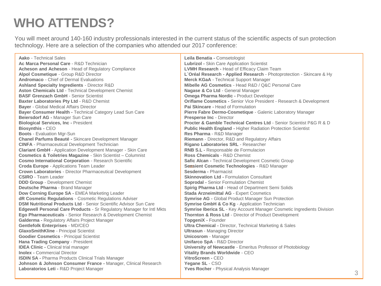### **WHO ATTENDS?**

You will meet around 140-160 industry professionals interested in the current status of the scientific aspects of sun protection technology. Here are a selection of the companies who attended our 2017 conference:

**Aako** - Technical Sales **Ac Marca Personal Care** - R&D Technician **Acheson and Acheson** - Head of Regulatory Compliance **Alpol Cosmetique** - Group R&D Director **Andromaco** - Chief of Dermal Evaluations **Ashland Specialty Ingredients** - Director R&D **Aston Chemicals Ltd** - Technical Development Chemist **BASF Grenzach GmbH** - Senior Scientist **Baxter Laboratories Pty Ltd** - R&D Chemist **Bayer** - Global Medical Affairs Director **Bayer Consumer Health -** Technical Category Lead Sun Care **Beiersdorf AG -** Manager Sun Care **Biological Services, Inc -** President **Biosynthis -** CEO **Boots** - Evaluation Mgr-Sun **Chanel Parfums Beauté -** Skincare Development Manager **CINFA** - Pharmaceutical Development Technician **Clariant GmbH** - Application Development Manager - Skin Care **Cosmetics & Toiletries Magazine** - Skin Scientist – Columnist **Cosmo International Corporation** - Research Scientific **Croda Europe** - Applications Team Leader **Crown Laboratories** - Director Pharmaceutical Development **CSIRO** - Team Leader **DDD Group** - Development Chemist **Deutsche Pharma** - Brand Manager **Dow Corning Europe SA -** EMEA Marketing Leader **dR Cosmetic Regulations** - Cosmetic Regulations Adviser **DSM Nutritional Products Ltd** - Senior Scientific Advisor Sun Care **Edgewell Personal Care Products** - Sr Regulatory Manager for Intl Mkts **Ego Pharmaceuticals** - Senior Research & Development Chemist **Galderma -** Regulatory Affairs Project Manager **Gentlefolk Enterprises** - MD/CEO **GlaxoSmithKline** - Principal Scientist **Goodier Cosmetics** - Principal Scientist **Hana Trading Company** - President **IDEA Clinic -** Clinical trial manager **Inolex -** Commercial Director **ISDIN SA -** Pharma Products Clinical Trials Manager **Johnson & Johnson Consumer France -** Manager, Clinical Research **Laboratorios Leti -** R&D Project Manager

**Leila Benatia -** Comsetologist **Lubrizol -** Skin Care Application Scientist **LVMH Research -** Head of Efficacy Claim Team **L`Oréal Research - Applied Research** - Photoprotection - Skincare & Hy **Merck KGaA** - Technical Support Manager **Mibelle AG Cosmetics** - Head R&D / Q&C Personal Care **Nagase & Co Ltd** - General Manager **Omega Pharma Nordic -** Product Developer **Oriflame Cosmetics -** Senior Vice President - Research & Development **Pai Skincare -** Head of Formulation **Pierre Fabre Dermo-Cosmetique** - Galenic Laboratory Manager **Presperse Inc** - Director **Procter & Gamble Technical Centres Ltd** - Senior Scientist P&G R & D **Public Health England -** Higher Radiation Protection Scientist **Res Pharma** - R&D Manager **Riemann** - Director, R&D and Regulatory Affairs **Rigano Laboratories SRL** - Researcher **RNB S.L -** Responsable de Formulacion **Ross Chemicals** - R&D Chemist **Safic Alcan -** Technical Development Cosmetic Group **Sensient Cosmetic Technologies** - R&D Manager **Sesderma -** Pharmacist **Skinnovation Ltd -** Formulation Consultant **Soprodal -** Senior Formulation Chemist **Spirig Pharma Ltd** - Head of Department Semi Solids **Stada Arzneimittal AG** - Expert Cosmetics **Symrise AG -** Global Product Manager Sun Protection **Symrise GmbH & Co Kg** - Application Technician **Symrise Iberica SL** - Key Account Manager Cosmetic Ingredients Division **Thornton & Ross Ltd** - Director of Product Development **TopgeniX -** Founder **Ultra Chemical -** Director, Technical Marketing & Sales **Ultrasun** - Managing Director **Unicosrom** - Manager **Unifarco SpA** - R&D Director **University of Newcastle** - Emeritus Professor of Photobiology **Vitality Brands Worldwide** - CEO **VitroScreen -** CEO **Yegane SL** - CSO **Yves Rocher** - Physical Analysis Manager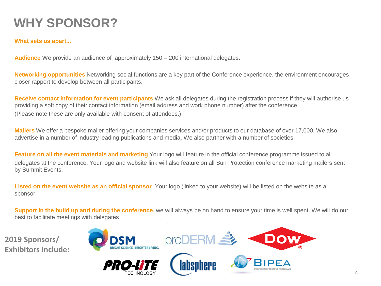### **WHY SPONSOR?**

#### **What sets us apart...**

**Audience** We provide an audience of approximately 150 – 200 international delegates.

**Networking opportunities** Networking social functions are a key part of the Conference experience, the environment encourages closer rapport to develop between all participants.

**Receive contact information for event participants** We ask all delegates during the registration process if they will authorise us providing a soft copy of their contact information (email address and work phone number) after the conference. (Please note these are only available with consent of attendees.)

**Mailers** We offer a bespoke mailer offering your companies services and/or products to our database of over 17,000. We also advertise in a number of industry leading publications and media. We also partner with a number of societies.

**Feature on all the event materials and marketing** Your logo will feature in the official conference programme issued to all delegates at the conference. Your logo and website link will also feature on all Sun Protection conference marketing mailers sent by Summit Events.

**Listed on the event website as an official sponsor** Your logo (linked to your website) will be listed on the website as a sponsor.

**Support In the build up and during the conference**, we will always be on hand to ensure your time is well spent. We will do our best to facilitate meetings with delegates

**2019 Sponsors/ Exhibitors include:**





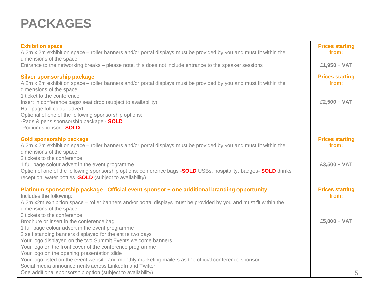### **PACKAGES**

| <b>Exhibition space</b><br>A 2m x 2m exhibition space – roller banners and/or portal displays must be provided by you and must fit within the                                                                                                                                                                                                                                                                                                                                                                                                                                                                                                                                                                                                           | <b>Prices starting</b><br>from:                   |
|---------------------------------------------------------------------------------------------------------------------------------------------------------------------------------------------------------------------------------------------------------------------------------------------------------------------------------------------------------------------------------------------------------------------------------------------------------------------------------------------------------------------------------------------------------------------------------------------------------------------------------------------------------------------------------------------------------------------------------------------------------|---------------------------------------------------|
| dimensions of the space<br>Entrance to the networking breaks – please note, this does not include entrance to the speaker sessions                                                                                                                                                                                                                                                                                                                                                                                                                                                                                                                                                                                                                      | £1,950 + VAT                                      |
| <b>Silver sponsorship package</b><br>A 2m x 2m exhibition space – roller banners and/or portal displays must be provided by you and must fit within the<br>dimensions of the space<br>1 ticket to the conference<br>Insert in conference bags/ seat drop (subject to availability)<br>Half page full colour advert<br>Optional of one of the following sponsorship options:<br>-Pads & pens sponsorship package - SOLD<br>-Podium sponsor - SOLD                                                                                                                                                                                                                                                                                                        | <b>Prices starting</b><br>from:<br>£2,500 + VAT   |
| <b>Gold sponsorship package</b><br>A 2m x 2m exhibition space – roller banners and/or portal displays must be provided by you and must fit within the<br>dimensions of the space<br>2 tickets to the conference<br>1 full page colour advert in the event programme<br>Option of one of the following sponsorship options: conference bags - <b>SOLD</b> USBs, hospitality, badges- <b>SOLD</b> drinks<br>reception, water bottles - <b>SOLD</b> (subject to availability)                                                                                                                                                                                                                                                                              | <b>Prices starting</b><br>from:<br>$£3,500 + VAT$ |
| Platinum sponsorship package - Official event sponsor + one additional branding opportunity<br>Includes the following:<br>A 2m x2m exhibition space – roller banners and/or portal displays must be provided by you and must fit within the<br>dimensions of the space<br>3 tickets to the conference<br>Brochure or insert in the conference bag<br>1 full page colour advert in the event programme<br>2 self standing banners displayed for the entire two days<br>Your logo displayed on the two Summit Events welcome banners<br>Your logo on the front cover of the conference programme<br>Your logo on the opening presentation slide<br>Your logo listed on the event website and monthly marketing mailers as the official conference sponsor | <b>Prices starting</b><br>from:<br>£5,000 + VAT   |
| Social media announcements across LinkedIn and Twitter<br>One additional sponsorship option (subject to availability)                                                                                                                                                                                                                                                                                                                                                                                                                                                                                                                                                                                                                                   | 5                                                 |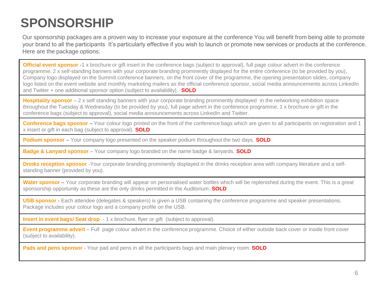### **SPONSORSHIP**

Our sponsorship packages are a proven way to increase your exposure at the conference You will benefit from being able to promote your brand to all the participants It's particularly effective if you wish to launch or promote new services or products at the conference. Here are the package options:

**Official event sponsor** -1 x brochure or gift insert in the conference bags (subject to approval), full page colour advert in the conference programme, 2 x self-standing banners with your corporate branding prominently displayed for the entire conference (to be provided by you), Company logo displayed on the Summit conference banners, on the front cover of the programme, the opening presentation slides, company logo listed on the event website and monthly marketing mailers as the official conference sponsor, social media announcements across LinkedIn and Twitter + one additional sponsor option (subject to availability). **SOLD** 

**Hospitality sponsor** – 2 x self standing banners with your corporate branding prominently displayed in the networking exhibition space throughout the Tuesday & Wednesday (to be provided by you), full page advert in the conference programme, 1 x brochure or gift in the conference bags (subject to approval), social media announcements across LinkedIn and Twitter.

**Conference bags sponsor –** Your colour logo printed on the front of the conference bags which are given to all participants on registration and 1 x insert or gift in each bag (subject to approval). **SOLD** 

**Podium sponsor –** Your company logo presented on the speaker podium throughout the two days. **SOLD**

**Badge & Lanyard sponsor** – Your company logo branded on the name badge & lanyards. **SOLD** 

**Drinks reception sponsor** -Your corporate branding prominently displayed in the drinks reception area with company literature and a selfstanding banner (provided by you).

Water sponsor – Your corporate branding will appear on personalised water bottles which will be replenished during the event. This is a great sponsorship opportunity as these are the only drinks permitted in the Auditorium. **SOLD**

**USB sponsor -** Each attendee (delegates & speakers) is given a USB containing the conference programme and speaker presentations. Package includes your colour logo and a company profile on the USB.

**Insert in event bags/ Seat drop** - 1 x brochure, flyer or gift (subject to approval).

**Event programme advert** – Full page colour advert in the conference programme. Choice of either outside back cover or inside front cover (subject to availability).

**Pads and pens sponsor** - Your pad and pens in all the participants bags and main plenary room. **SOLD**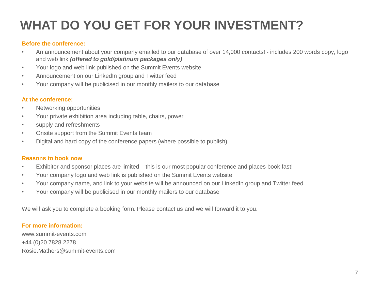### **WHAT DO YOU GET FOR YOUR INVESTMENT?**

#### **Before the conference:**

- An announcement about your company emailed to our database of over 14,000 contacts! includes 200 words copy, logo and web link *(offered to gold/platinum packages only)*
- Your logo and web link published on the Summit Events website
- Announcement on our LinkedIn group and Twitter feed
- Your company will be publicised in our monthly mailers to our database

#### **At the conference:**

- Networking opportunities
- Your private exhibition area including table, chairs, power
- supply and refreshments
- Onsite support from the Summit Events team
- Digital and hard copy of the conference papers (where possible to publish)

#### **Reasons to book now**

- Exhibitor and sponsor places are limited this is our most popular conference and places book fast!
- Your company logo and web link is published on the Summit Events website
- Your company name, and link to your website will be announced on our LinkedIn group and Twitter feed
- Your company will be publicised in our monthly mailers to our database

We will ask you to complete a booking form. Please contact us and we will forward it to you.

#### **For more information:**

www.summit-events.com +44 (0)20 7828 2278 Rosie.Mathers@summit-events.com